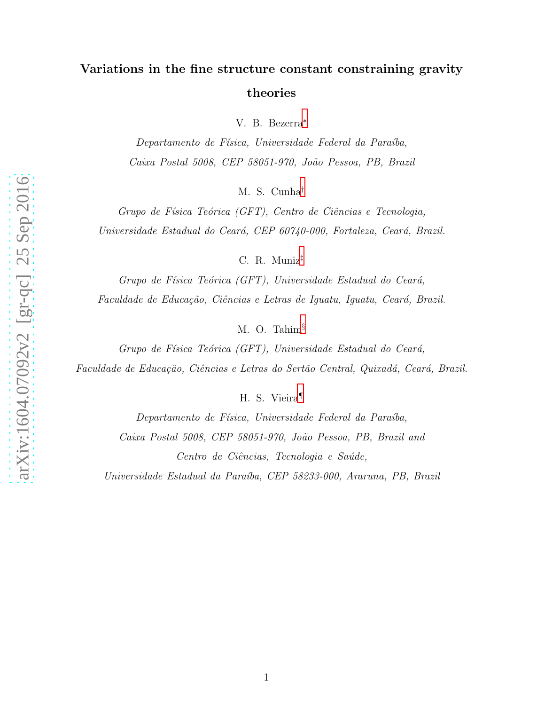# Variations in the fine structure constant constraining gravity theories

V. B. Bezerra [∗](#page-1-0)

Departamento de Física, Universidade Federal da Paraíba, Caixa Postal 5008, CEP 58051-970, João Pessoa, PB, Brazil

M. S. Cunha [†](#page-1-1)

Grupo de Física Teórica (GFT), Centro de Ciências e Tecnologia, Universidade Estadual do Ceará, CEP 60740-000, Fortaleza, Ceará, Brazil.

C. R. Muniz [‡](#page-1-2)

Grupo de Física Teórica (GFT), Universidade Estadual do Ceará, Faculdade de Educação, Ciências e Letras de Iguatu, Iguatu, Ceará, Brazil.

M. O. Tahim [§](#page-1-3)

Grupo de Física Teórica (GFT), Universidade Estadual do Ceará, Faculdade de Educação, Ciências e Letras do Sertão Central, Quixadá, Ceará, Brazil.

H. S. Vieira [¶](#page-1-4)

Departamento de Física, Universidade Federal da Paraíba, Caixa Postal 5008, CEP 58051-970, João Pessoa, PB, Brazil and Centro de Ciências, Tecnologia e Saúde,

Universidade Estadual da Paraíba, CEP 58233-000, Araruna, PB, Brazil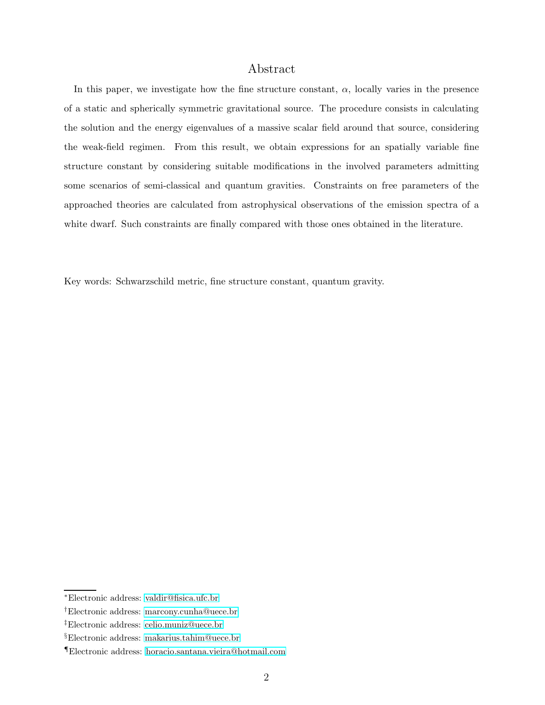### Abstract

In this paper, we investigate how the fine structure constant,  $\alpha$ , locally varies in the presence of a static and spherically symmetric gravitational source. The procedure consists in calculating the solution and the energy eigenvalues of a massive scalar field around that source, considering the weak-field regimen. From this result, we obtain expressions for an spatially variable fine structure constant by considering suitable modifications in the involved parameters admitting some scenarios of semi-classical and quantum gravities. Constraints on free parameters of the approached theories are calculated from astrophysical observations of the emission spectra of a white dwarf. Such constraints are finally compared with those ones obtained in the literature.

Key words: Schwarzschild metric, fine structure constant, quantum gravity.

<span id="page-1-1"></span><span id="page-1-0"></span><sup>∗</sup>Electronic address: [valdir@fisica.ufc.br](mailto:valdir@fisica.ufc.br)

<span id="page-1-2"></span><sup>†</sup>Electronic address: [marcony.cunha@uece.br](mailto:marcony.cunha@uece.br)

<span id="page-1-3"></span><sup>‡</sup>Electronic address: [celio.muniz@uece.br](mailto:celio.muniz@uece.br)

<span id="page-1-4"></span><sup>§</sup>Electronic address: [makarius.tahim@uece.br](mailto:makarius.tahim@uece.br)

<sup>¶</sup>Electronic address: [horacio.santana.vieira@hotmail.com](mailto:horacio.santana.vieira@hotmail.com)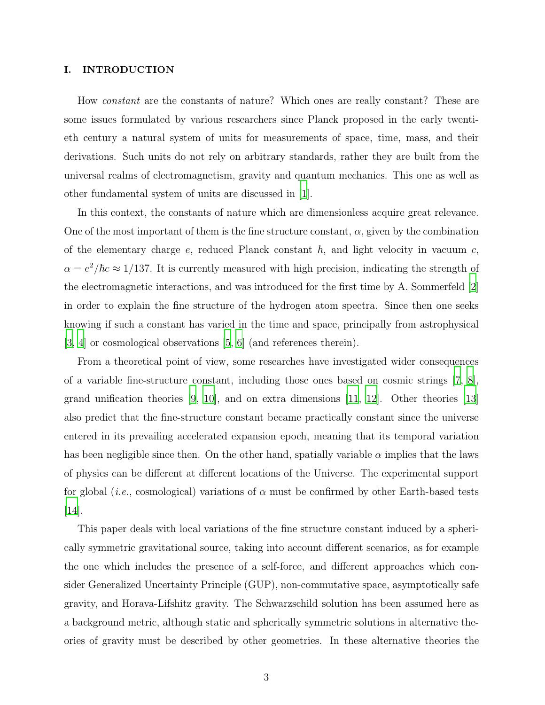#### I. INTRODUCTION

How constant are the constants of nature? Which ones are really constant? These are some issues formulated by various researchers since Planck proposed in the early twentieth century a natural system of units for measurements of space, time, mass, and their derivations. Such units do not rely on arbitrary standards, rather they are built from the universal realms of electromagnetism, gravity and quantum mechanics. This one as well as other fundamental system of units are discussed in [\[1\]](#page-13-0).

In this context, the constants of nature which are dimensionless acquire great relevance. One of the most important of them is the fine structure constant,  $\alpha$ , given by the combination of the elementary charge  $e$ , reduced Planck constant  $\hbar$ , and light velocity in vacuum c,  $\alpha = e^2/\hbar c \approx 1/137$ . It is currently measured with high precision, indicating the strength of the electromagnetic interactions, and was introduced for the first time by A. Sommerfeld [\[2\]](#page-13-1) in order to explain the fine structure of the hydrogen atom spectra. Since then one seeks knowing if such a constant has varied in the time and space, principally from astrophysical [\[3](#page-13-2), [4](#page-13-3)] or cosmological observations [\[5](#page-14-0), [6](#page-14-1)] (and references therein).

From a theoretical point of view, some researches have investigated wider consequences of a variable fine-structure constant, including those ones based on cosmic strings [\[7,](#page-14-2) [8\]](#page-14-3), grand unification theories  $[9, 10]$  $[9, 10]$ , and on extra dimensions  $[11, 12]$  $[11, 12]$  $[11, 12]$ . Other theories  $[13]$ also predict that the fine-structure constant became practically constant since the universe entered in its prevailing accelerated expansion epoch, meaning that its temporal variation has been negligible since then. On the other hand, spatially variable  $\alpha$  implies that the laws of physics can be different at different locations of the Universe. The experimental support for global (*i.e.*, cosmological) variations of  $\alpha$  must be confirmed by other Earth-based tests  $|14|$ .

This paper deals with local variations of the fine structure constant induced by a spherically symmetric gravitational source, taking into account different scenarios, as for example the one which includes the presence of a self-force, and different approaches which consider Generalized Uncertainty Principle (GUP), non-commutative space, asymptotically safe gravity, and Horava-Lifshitz gravity. The Schwarzschild solution has been assumed here as a background metric, although static and spherically symmetric solutions in alternative theories of gravity must be described by other geometries. In these alternative theories the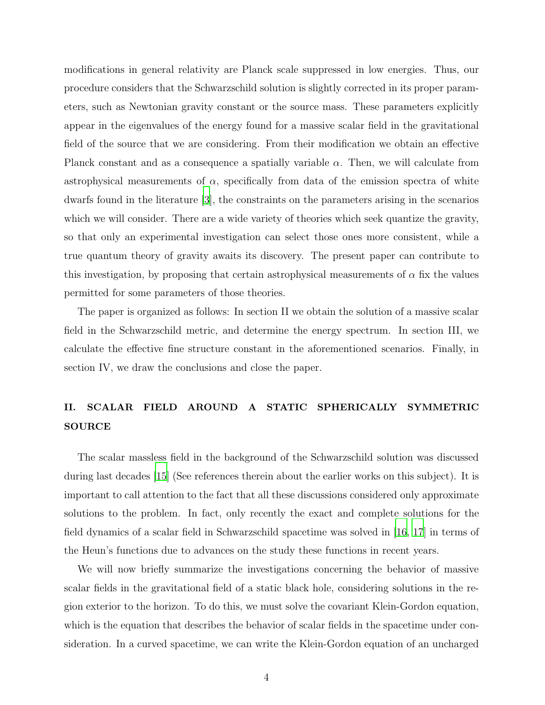modifications in general relativity are Planck scale suppressed in low energies. Thus, our procedure considers that the Schwarzschild solution is slightly corrected in its proper parameters, such as Newtonian gravity constant or the source mass. These parameters explicitly appear in the eigenvalues of the energy found for a massive scalar field in the gravitational field of the source that we are considering. From their modification we obtain an effective Planck constant and as a consequence a spatially variable  $\alpha$ . Then, we will calculate from astrophysical measurements of  $\alpha$ , specifically from data of the emission spectra of white dwarfs found in the literature [\[3](#page-13-2)], the constraints on the parameters arising in the scenarios which we will consider. There are a wide variety of theories which seek quantize the gravity, so that only an experimental investigation can select those ones more consistent, while a true quantum theory of gravity awaits its discovery. The present paper can contribute to this investigation, by proposing that certain astrophysical measurements of  $\alpha$  fix the values permitted for some parameters of those theories.

The paper is organized as follows: In section II we obtain the solution of a massive scalar field in the Schwarzschild metric, and determine the energy spectrum. In section III, we calculate the effective fine structure constant in the aforementioned scenarios. Finally, in section IV, we draw the conclusions and close the paper.

## II. SCALAR FIELD AROUND A STATIC SPHERICALLY SYMMETRIC SOURCE

The scalar massless field in the background of the Schwarzschild solution was discussed during last decades [\[15](#page-14-10)] (See references therein about the earlier works on this subject). It is important to call attention to the fact that all these discussions considered only approximate solutions to the problem. In fact, only recently the exact and complete solutions for the field dynamics of a scalar field in Schwarzschild spacetime was solved in [\[16](#page-14-11), [17\]](#page-14-12) in terms of the Heun's functions due to advances on the study these functions in recent years.

We will now briefly summarize the investigations concerning the behavior of massive scalar fields in the gravitational field of a static black hole, considering solutions in the region exterior to the horizon. To do this, we must solve the covariant Klein-Gordon equation, which is the equation that describes the behavior of scalar fields in the spacetime under consideration. In a curved spacetime, we can write the Klein-Gordon equation of an uncharged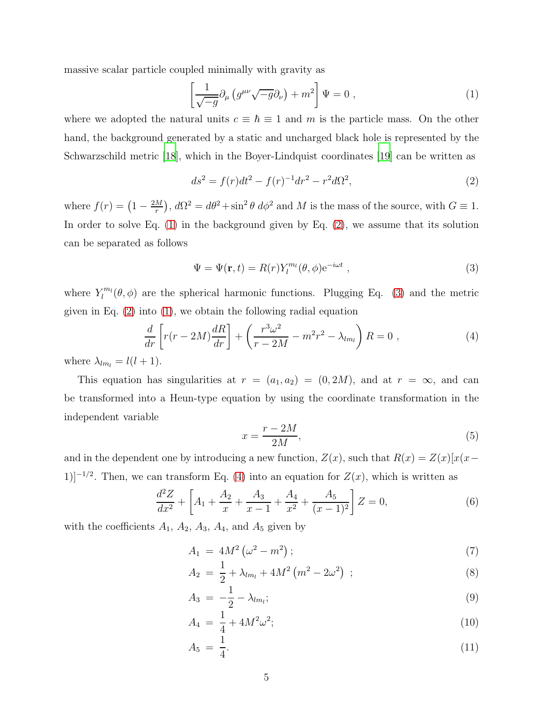massive scalar particle coupled minimally with gravity as

<span id="page-4-0"></span>
$$
\left[\frac{1}{\sqrt{-g}}\partial_{\mu}\left(g^{\mu\nu}\sqrt{-g}\partial_{\nu}\right) + m^{2}\right]\Psi = 0 , \qquad (1)
$$

where we adopted the natural units  $c \equiv \hbar \equiv 1$  and m is the particle mass. On the other hand, the background generated by a static and uncharged black hole is represented by the Schwarzschild metric [\[18\]](#page-14-13), which in the Boyer-Lindquist coordinates [\[19](#page-14-14)] can be written as

<span id="page-4-1"></span>
$$
ds^{2} = f(r)dt^{2} - f(r)^{-1}dr^{2} - r^{2}d\Omega^{2},
$$
\n(2)

where  $f(r) = \left(1 - \frac{2M}{r}\right)$  $(\frac{M}{r})$ ,  $d\Omega^2 = d\theta^2 + \sin^2 \theta \ d\phi^2$  and M is the mass of the source, with  $G \equiv 1$ . In order to solve Eq. [\(1\)](#page-4-0) in the background given by Eq. [\(2\)](#page-4-1), we assume that its solution can be separated as follows

<span id="page-4-2"></span>
$$
\Psi = \Psi(\mathbf{r}, t) = R(r) Y_l^{m_l}(\theta, \phi) e^{-i\omega t} , \qquad (3)
$$

where  $Y_l^{m_l}$  $\mathcal{L}_l^{m_l}(\theta, \phi)$  are the spherical harmonic functions. Plugging Eq. [\(3\)](#page-4-2) and the metric given in Eq. [\(2\)](#page-4-1) into [\(1\)](#page-4-0), we obtain the following radial equation

<span id="page-4-3"></span>
$$
\frac{d}{dr}\left[r(r-2M)\frac{dR}{dr}\right] + \left(\frac{r^3\omega^2}{r-2M} - m^2r^2 - \lambda_{lm_l}\right)R = 0 ,\qquad (4)
$$

where  $\lambda_{lm_l} = l(l+1)$ .

This equation has singularities at  $r = (a_1, a_2) = (0, 2M)$ , and at  $r = \infty$ , and can be transformed into a Heun-type equation by using the coordinate transformation in the independent variable

$$
x = \frac{r - 2M}{2M},\tag{5}
$$

and in the dependent one by introducing a new function,  $Z(x)$ , such that  $R(x) = Z(x)[x(x -$ 1)]<sup>-1/2</sup>. Then, we can transform Eq. [\(4\)](#page-4-3) into an equation for  $Z(x)$ , which is written as

<span id="page-4-4"></span>
$$
\frac{d^2Z}{dx^2} + \left[A_1 + \frac{A_2}{x} + \frac{A_3}{x-1} + \frac{A_4}{x^2} + \frac{A_5}{(x-1)^2}\right]Z = 0,\tag{6}
$$

with the coefficients  $A_1$ ,  $A_2$ ,  $A_3$ ,  $A_4$ , and  $A_5$  given by

$$
A_1 = 4M^2 \left(\omega^2 - m^2\right); \tag{7}
$$

$$
A_2 = \frac{1}{2} + \lambda_{lm_l} + 4M^2 \left( m^2 - 2\omega^2 \right) ; \tag{8}
$$

$$
A_3 = -\frac{1}{2} - \lambda_{lm_l};\tag{9}
$$

$$
A_4 = \frac{1}{4} + 4M^2\omega^2; \tag{10}
$$

$$
A_5 = \frac{1}{4}.\tag{11}
$$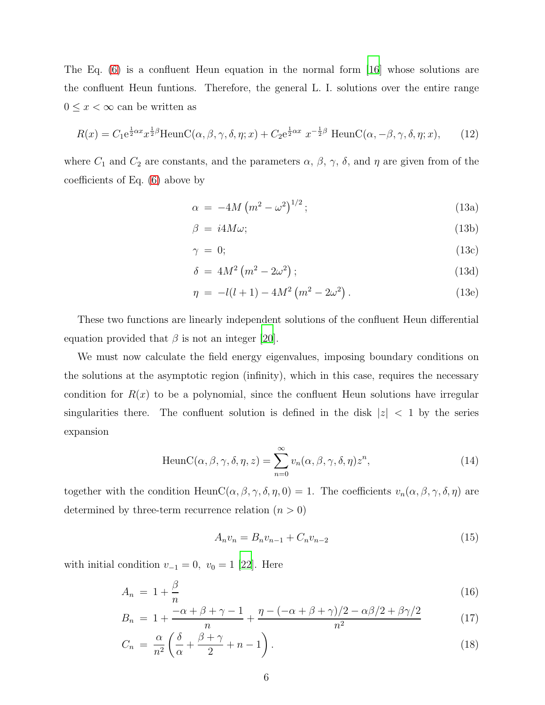The Eq. [\(6\)](#page-4-4) is a confluent Heun equation in the normal form [\[16](#page-14-11)] whose solutions are the confluent Heun funtions. Therefore, the general L. I. solutions over the entire range  $0 \leq x < \infty$  can be written as

$$
R(x) = C_1 e^{\frac{1}{2}\alpha x} x^{\frac{1}{2}\beta} \text{HeunC}(\alpha, \beta, \gamma, \delta, \eta; x) + C_2 e^{\frac{1}{2}\alpha x} x^{-\frac{1}{2}\beta} \text{HeunC}(\alpha, -\beta, \gamma, \delta, \eta; x), \tag{12}
$$

where  $C_1$  and  $C_2$  are constants, and the parameters  $\alpha$ ,  $\beta$ ,  $\gamma$ ,  $\delta$ , and  $\eta$  are given from of the coefficients of Eq. [\(6\)](#page-4-4) above by

$$
\alpha = -4M\left(m^2 - \omega^2\right)^{1/2};\tag{13a}
$$

$$
\beta = i4M\omega; \tag{13b}
$$

$$
\gamma = 0; \tag{13c}
$$

$$
\delta = 4M^2 \left( m^2 - 2\omega^2 \right); \tag{13d}
$$

$$
\eta = -l(l+1) - 4M^2 \left( m^2 - 2\omega^2 \right). \tag{13e}
$$

These two functions are linearly independent solutions of the confluent Heun differential equation provided that  $\beta$  is not an integer [\[20\]](#page-14-15).

We must now calculate the field energy eigenvalues, imposing boundary conditions on the solutions at the asymptotic region (infinity), which in this case, requires the necessary condition for  $R(x)$  to be a polynomial, since the confluent Heun solutions have irregular singularities there. The confluent solution is defined in the disk  $|z| < 1$  by the series expansion

HeunC(
$$
\alpha
$$
,  $\beta$ ,  $\gamma$ ,  $\delta$ ,  $\eta$ ,  $z$ ) =  $\sum_{n=0}^{\infty} v_n(\alpha, \beta, \gamma, \delta, \eta) z^n$ , (14)

together with the condition HeunC( $\alpha, \beta, \gamma, \delta, \eta, 0$ ) = 1. The coefficients  $v_n(\alpha, \beta, \gamma, \delta, \eta)$  are determined by three-term recurrence relation  $(n > 0)$ 

$$
A_n v_n = B_n v_{n-1} + C_n v_{n-2}
$$
\n(15)

with initial condition  $v_{-1} = 0$ ,  $v_0 = 1$  [\[22\]](#page-14-16). Here

$$
A_n = 1 + \frac{\beta}{n} \tag{16}
$$

$$
B_n = 1 + \frac{-\alpha + \beta + \gamma - 1}{n} + \frac{\eta - (-\alpha + \beta + \gamma)/2 - \alpha\beta/2 + \beta\gamma/2}{n^2}
$$
(17)

$$
C_n = \frac{\alpha}{n^2} \left( \frac{\delta}{\alpha} + \frac{\beta + \gamma}{2} + n - 1 \right).
$$
 (18)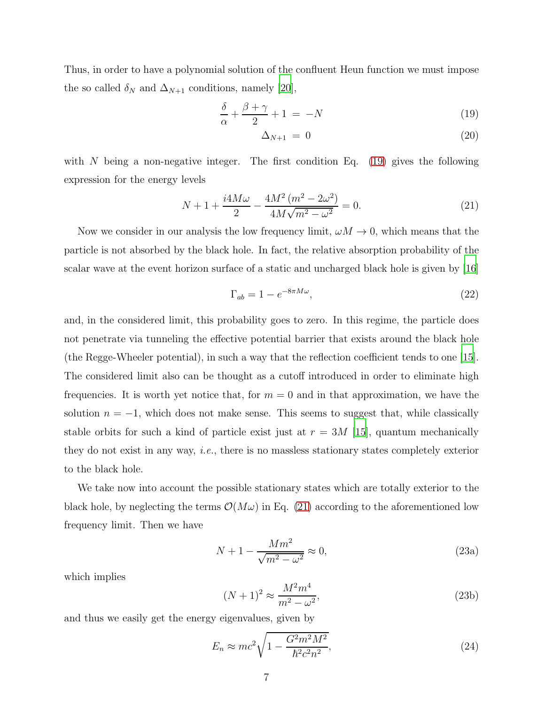Thus, in order to have a polynomial solution of the confluent Heun function we must impose the so called  $\delta_N$  and  $\Delta_{N+1}$  conditions, namely [\[20\]](#page-14-15),

<span id="page-6-0"></span>
$$
\frac{\delta}{\alpha} + \frac{\beta + \gamma}{2} + 1 = -N \tag{19}
$$

$$
\Delta_{N+1} = 0 \tag{20}
$$

with N being a non-negative integer. The first condition Eq.  $(19)$  gives the following expression for the energy levels

<span id="page-6-1"></span>
$$
N + 1 + \frac{i4M\omega}{2} - \frac{4M^2\left(m^2 - 2\omega^2\right)}{4M\sqrt{m^2 - \omega^2}} = 0.
$$
\n(21)

Now we consider in our analysis the low frequency limit,  $\omega M \to 0$ , which means that the particle is not absorbed by the black hole. In fact, the relative absorption probability of the scalar wave at the event horizon surface of a static and uncharged black hole is given by [\[16\]](#page-14-11)

$$
\Gamma_{ab} = 1 - e^{-8\pi M\omega},\tag{22}
$$

and, in the considered limit, this probability goes to zero. In this regime, the particle does not penetrate via tunneling the effective potential barrier that exists around the black hole (the Regge-Wheeler potential), in such a way that the reflection coefficient tends to one [\[15\]](#page-14-10). The considered limit also can be thought as a cutoff introduced in order to eliminate high frequencies. It is worth yet notice that, for  $m = 0$  and in that approximation, we have the solution  $n = -1$ , which does not make sense. This seems to suggest that, while classically stable orbits for such a kind of particle exist just at  $r = 3M$  [\[15\]](#page-14-10), quantum mechanically they do not exist in any way, i.e., there is no massless stationary states completely exterior to the black hole.

We take now into account the possible stationary states which are totally exterior to the black hole, by neglecting the terms  $\mathcal{O}(M\omega)$  in Eq. [\(21\)](#page-6-1) according to the aforementioned low frequency limit. Then we have

$$
N + 1 - \frac{Mm^2}{\sqrt{m^2 - \omega^2}} \approx 0,\tag{23a}
$$

which implies

$$
(N+1)^2 \approx \frac{M^2 m^4}{m^2 - \omega^2},
$$
\n(23b)

and thus we easily get the energy eigenvalues, given by

<span id="page-6-2"></span>
$$
E_n \approx mc^2 \sqrt{1 - \frac{G^2 m^2 M^2}{\hbar^2 c^2 n^2}},\tag{24}
$$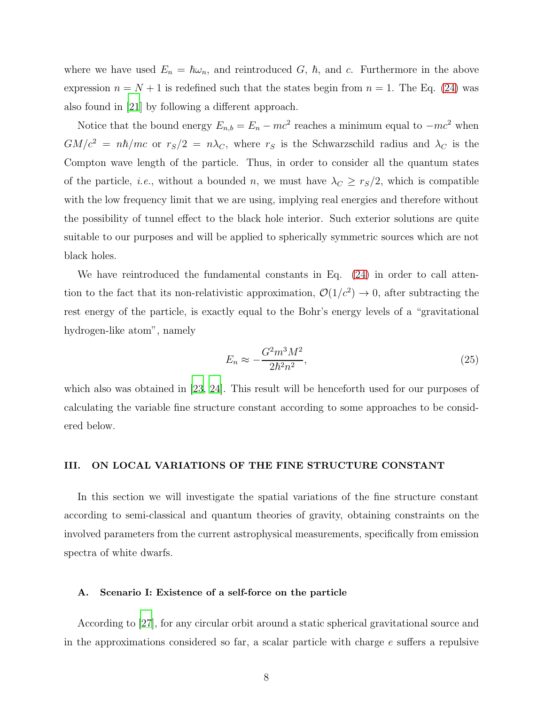where we have used  $E_n = \hbar \omega_n$ , and reintroduced G,  $\hbar$ , and c. Furthermore in the above expression  $n = N + 1$  is redefined such that the states begin from  $n = 1$ . The Eq. [\(24\)](#page-6-2) was also found in [\[21\]](#page-14-17) by following a different approach.

Notice that the bound energy  $E_{n,b} = E_n - mc^2$  reaches a minimum equal to  $-mc^2$  when  $GM/c^2 = n\hbar/mc$  or  $r_S/2 = n\lambda_C$ , where  $r_S$  is the Schwarzschild radius and  $\lambda_C$  is the Compton wave length of the particle. Thus, in order to consider all the quantum states of the particle, *i.e.*, without a bounded n, we must have  $\lambda_C \geq r_S/2$ , which is compatible with the low frequency limit that we are using, implying real energies and therefore without the possibility of tunnel effect to the black hole interior. Such exterior solutions are quite suitable to our purposes and will be applied to spherically symmetric sources which are not black holes.

We have reintroduced the fundamental constants in Eq. [\(24\)](#page-6-2) in order to call attention to the fact that its non-relativistic approximation,  $\mathcal{O}(1/c^2) \to 0$ , after subtracting the rest energy of the particle, is exactly equal to the Bohr's energy levels of a "gravitational hydrogen-like atom", namely

<span id="page-7-0"></span>
$$
E_n \approx -\frac{G^2 m^3 M^2}{2\hbar^2 n^2},\tag{25}
$$

which also was obtained in [\[23,](#page-14-18) [24\]](#page-14-19). This result will be henceforth used for our purposes of calculating the variable fine structure constant according to some approaches to be considered below.

#### III. ON LOCAL VARIATIONS OF THE FINE STRUCTURE CONSTANT

In this section we will investigate the spatial variations of the fine structure constant according to semi-classical and quantum theories of gravity, obtaining constraints on the involved parameters from the current astrophysical measurements, specifically from emission spectra of white dwarfs.

#### A. Scenario I: Existence of a self-force on the particle

According to [\[27\]](#page-14-20), for any circular orbit around a static spherical gravitational source and in the approximations considered so far, a scalar particle with charge  $e$  suffers a repulsive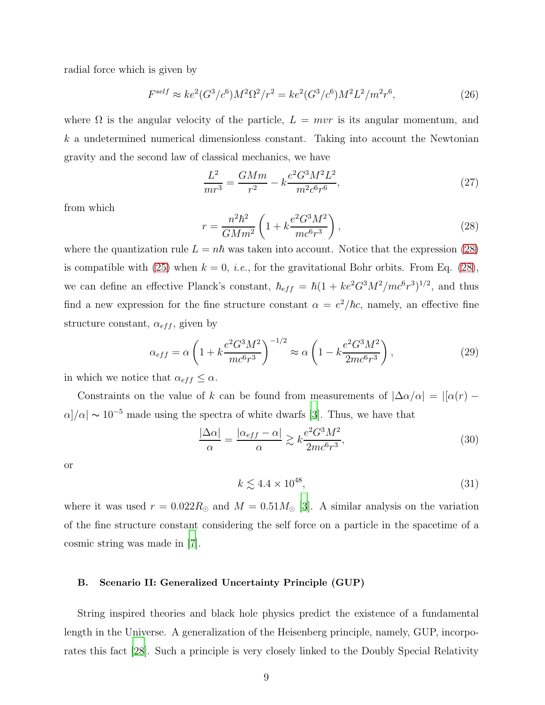radial force which is given by

$$
F^{self} \approx ke^{2}(G^{3}/c^{6})M^{2}\Omega^{2}/r^{2} = ke^{2}(G^{3}/c^{6})M^{2}L^{2}/m^{2}r^{6},
$$
\n(26)

where  $\Omega$  is the angular velocity of the particle,  $L = mvr$  is its angular momentum, and  $k$  a undetermined numerical dimensionless constant. Taking into account the Newtonian gravity and the second law of classical mechanics, we have

$$
\frac{L^2}{mr^3} = \frac{GMm}{r^2} - k\frac{e^2 G^3 M^2 L^2}{m^2 c^6 r^6},\tag{27}
$$

from which

<span id="page-8-0"></span>
$$
r = \frac{n^2 \hbar^2}{GMm^2} \left( 1 + k \frac{e^2 G^3 M^2}{mc^6 r^3} \right),
$$
\n(28)

where the quantization rule  $L = n\hbar$  was taken into account. Notice that the expression [\(28\)](#page-8-0) is compatible with [\(25\)](#page-7-0) when  $k = 0$ , *i.e.*, for the gravitational Bohr orbits. From Eq. [\(28\)](#page-8-0), we can define an effective Planck's constant,  $\hbar_{eff} = \hbar (1 + ke^2 G^3 M^2 / mc^6 r^3)^{1/2}$ , and thus find a new expression for the fine structure constant  $\alpha = e^2/\hbar c$ , namely, an effective fine structure constant,  $\alpha_{eff}$ , given by

$$
\alpha_{eff} = \alpha \left( 1 + k \frac{e^2 G^3 M^2}{mc^6 r^3} \right)^{-1/2} \approx \alpha \left( 1 - k \frac{e^2 G^3 M^2}{2mc^6 r^3} \right),\tag{29}
$$

in which we notice that  $\alpha_{eff} \leq \alpha$ .

Constraints on the value of k can be found from measurements of  $|\Delta \alpha/\alpha| = |[\alpha(r) - \alpha(r)]|$  $\alpha$ / $\alpha$ |  $\sim$  10<sup>-5</sup> made using the spectra of white dwarfs [\[3\]](#page-13-2). Thus, we have that

$$
\frac{|\Delta\alpha|}{\alpha} = \frac{|\alpha_{eff} - \alpha|}{\alpha} \gtrsim k \frac{e^2 G^3 M^2}{2mc^{6}r^3},\tag{30}
$$

or

$$
k \lesssim 4.4 \times 10^{48},\tag{31}
$$

where it was used  $r = 0.022 R_{\odot}$  and  $M = 0.51 M_{\odot}$  [\[3](#page-13-2)]. A similar analysis on the variation of the fine structure constant considering the self force on a particle in the spacetime of a cosmic string was made in [\[7](#page-14-2)].

#### B. Scenario II: Generalized Uncertainty Principle (GUP)

String inspired theories and black hole physics predict the existence of a fundamental length in the Universe. A generalization of the Heisenberg principle, namely, GUP, incorporates this fact [\[28](#page-14-21)]. Such a principle is very closely linked to the Doubly Special Relativity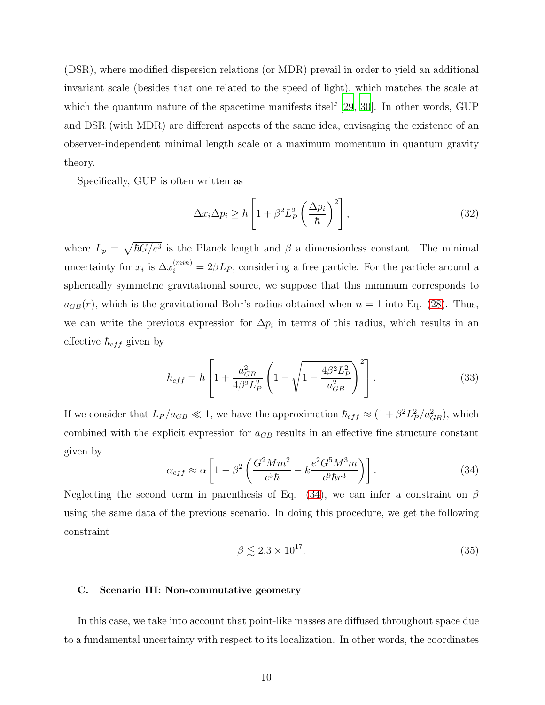(DSR), where modified dispersion relations (or MDR) prevail in order to yield an additional invariant scale (besides that one related to the speed of light), which matches the scale at which the quantum nature of the spacetime manifests itself [\[29,](#page-14-22) [30\]](#page-14-23). In other words, GUP and DSR (with MDR) are different aspects of the same idea, envisaging the existence of an observer-independent minimal length scale or a maximum momentum in quantum gravity theory.

Specifically, GUP is often written as

$$
\Delta x_i \Delta p_i \ge \hbar \left[ 1 + \beta^2 L_P^2 \left( \frac{\Delta p_i}{\hbar} \right)^2 \right],\tag{32}
$$

where  $L_p = \sqrt{\hbar G/c^3}$  is the Planck length and  $\beta$  a dimensionless constant. The minimal uncertainty for  $x_i$  is  $\Delta x_i^{(min)} = 2\beta L_P$ , considering a free particle. For the particle around a spherically symmetric gravitational source, we suppose that this minimum corresponds to  $a_{GB}(r)$ , which is the gravitational Bohr's radius obtained when  $n = 1$  into Eq. [\(28\)](#page-8-0). Thus, we can write the previous expression for  $\Delta p_i$  in terms of this radius, which results in an effective  $\hbar_{eff}$  given by

$$
\hbar_{eff} = \hbar \left[ 1 + \frac{a_{GB}^2}{4\beta^2 L_P^2} \left( 1 - \sqrt{1 - \frac{4\beta^2 L_P^2}{a_{GB}^2}} \right)^2 \right].
$$
 (33)

If we consider that  $L_P/a_{GB} \ll 1$ , we have the approximation  $\hbar_{eff} \approx (1 + \beta^2 L_P^2/a_{GB}^2)$ , which combined with the explicit expression for  $a_{GB}$  results in an effective fine structure constant given by

<span id="page-9-0"></span>
$$
\alpha_{eff} \approx \alpha \left[ 1 - \beta^2 \left( \frac{G^2 M m^2}{c^3 \hbar} - k \frac{e^2 G^5 M^3 m}{c^9 \hbar r^3} \right) \right]. \tag{34}
$$

Neglecting the second term in parenthesis of Eq. [\(34\)](#page-9-0), we can infer a constraint on  $\beta$ using the same data of the previous scenario. In doing this procedure, we get the following constraint

$$
\beta \lesssim 2.3 \times 10^{17}.\tag{35}
$$

#### C. Scenario III: Non-commutative geometry

In this case, we take into account that point-like masses are diffused throughout space due to a fundamental uncertainty with respect to its localization. In other words, the coordinates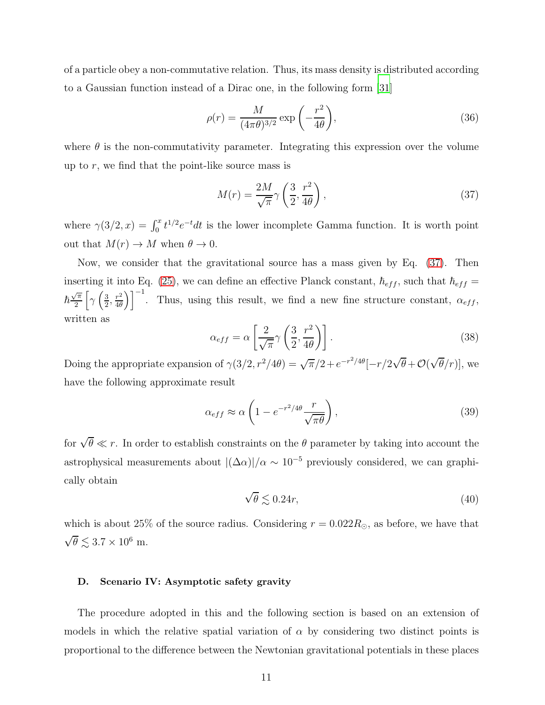of a particle obey a non-commutative relation. Thus, its mass density is distributed according to a Gaussian function instead of a Dirac one, in the following form [\[31\]](#page-14-24)

$$
\rho(r) = \frac{M}{(4\pi\theta)^{3/2}} \exp\left(-\frac{r^2}{4\theta}\right),\tag{36}
$$

where  $\theta$  is the non-commutativity parameter. Integrating this expression over the volume up to  $r$ , we find that the point-like source mass is

<span id="page-10-0"></span>
$$
M(r) = \frac{2M}{\sqrt{\pi}} \gamma \left(\frac{3}{2}, \frac{r^2}{4\theta}\right),\tag{37}
$$

where  $\gamma(3/2, x) = \int_0^x t^{1/2} e^{-t} dt$  is the lower incomplete Gamma function. It is worth point out that  $M(r) \to M$  when  $\theta \to 0$ .

Now, we consider that the gravitational source has a mass given by Eq. [\(37\)](#page-10-0). Then inserting it into Eq. [\(25\)](#page-7-0), we can define an effective Planck constant,  $\hbar_{eff}$ , such that  $\hbar_{eff} =$  $\hbar \frac{\sqrt{\pi}}{2}$  $\sqrt{\frac{\pi}{2}}\left[\gamma\left(\frac{3}{2}\right)\right]$  $\frac{3}{2}, \frac{r^2}{4\theta}$  $\left(\frac{r^2}{4\theta}\right)^{-1}$ . Thus, using this result, we find a new fine structure constant,  $\alpha_{eff}$ , written as

$$
\alpha_{eff} = \alpha \left[ \frac{2}{\sqrt{\pi}} \gamma \left( \frac{3}{2}, \frac{r^2}{4\theta} \right) \right].
$$
 (38)

Doing the appropriate expansion of  $\gamma(3/2, r^2/4\theta) = \sqrt{\pi}/2 + e^{-r^2/4\theta}[-r/2\sqrt{\theta} + \mathcal{O}(\sqrt{\theta}/r)],$  we have the following approximate result

$$
\alpha_{eff} \approx \alpha \left( 1 - e^{-r^2/4\theta} \frac{r}{\sqrt{\pi \theta}} \right),\tag{39}
$$

for  $\sqrt{\theta} \ll r$ . In order to establish constraints on the  $\theta$  parameter by taking into account the astrophysical measurements about  $|(\Delta \alpha)|/\alpha \sim 10^{-5}$  previously considered, we can graphically obtain

$$
\sqrt{\theta} \lesssim 0.24r,\tag{40}
$$

which is about 25% of the source radius. Considering  $r = 0.022R_{\odot}$ , as before, we have that  $\sqrt{\theta} \lesssim 3.7 \times 10^6$  m.

#### D. Scenario IV: Asymptotic safety gravity

The procedure adopted in this and the following section is based on an extension of models in which the relative spatial variation of  $\alpha$  by considering two distinct points is proportional to the difference between the Newtonian gravitational potentials in these places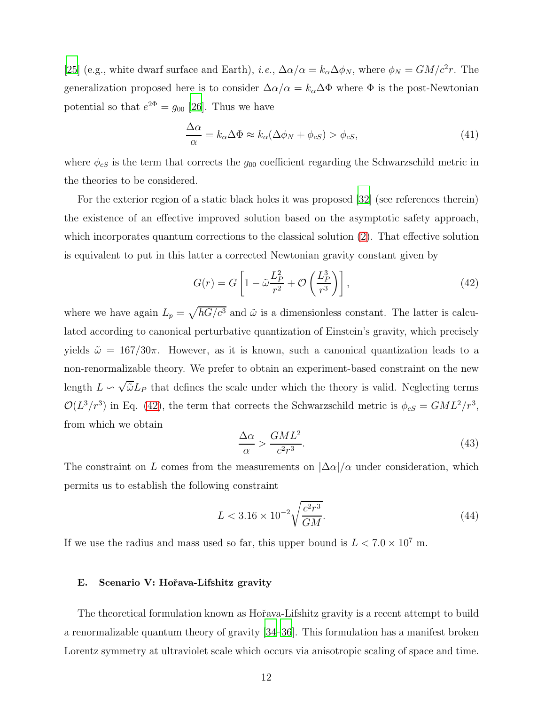[\[25\]](#page-14-25) (e.g., white dwarf surface and Earth), *i.e.*,  $\Delta \alpha/\alpha = k_{\alpha} \Delta \phi_N$ , where  $\phi_N = GM/c^2 r$ . The generalization proposed here is to consider  $\Delta \alpha/\alpha = k_{\alpha} \Delta \Phi$  where  $\Phi$  is the post-Newtonian potential so that  $e^{2\Phi} = g_{00}$  [\[26\]](#page-14-26). Thus we have

$$
\frac{\Delta \alpha}{\alpha} = k_{\alpha} \Delta \Phi \approx k_{\alpha} (\Delta \phi_N + \phi_{cS}) > \phi_{cS},\tag{41}
$$

where  $\phi_{cS}$  is the term that corrects the  $g_{00}$  coefficient regarding the Schwarzschild metric in the theories to be considered.

For the exterior region of a static black holes it was proposed [\[32\]](#page-14-27) (see references therein) the existence of an effective improved solution based on the asymptotic safety approach, which incorporates quantum corrections to the classical solution [\(2\)](#page-4-1). That effective solution is equivalent to put in this latter a corrected Newtonian gravity constant given by

<span id="page-11-0"></span>
$$
G(r) = G \left[ 1 - \tilde{\omega} \frac{L_P^2}{r^2} + \mathcal{O}\left(\frac{L_P^3}{r^3}\right) \right],\tag{42}
$$

where we have again  $L_p = \sqrt{\hbar G/c^3}$  and  $\tilde{\omega}$  is a dimensionless constant. The latter is calculated according to canonical perturbative quantization of Einstein's gravity, which precisely yields  $\tilde{\omega} = 167/30\pi$ . However, as it is known, such a canonical quantization leads to a non-renormalizable theory. We prefer to obtain an experiment-based constraint on the new length  $L \backsim \sqrt{\tilde{\omega}} L_P$  that defines the scale under which the theory is valid. Neglecting terms  $\mathcal{O}(L^3/r^3)$  in Eq. [\(42\)](#page-11-0), the term that corrects the Schwarzschild metric is  $\phi_{cS} = GML^2/r^3$ , from which we obtain

$$
\frac{\Delta \alpha}{\alpha} > \frac{GML^2}{c^2 r^3}.\tag{43}
$$

The constraint on L comes from the measurements on  $|\Delta\alpha|/\alpha$  under consideration, which permits us to establish the following constraint

$$
L < 3.16 \times 10^{-2} \sqrt{\frac{c^2 r^3}{GM}}.\tag{44}
$$

If we use the radius and mass used so far, this upper bound is  $L < 7.0 \times 10^7$  m.

#### E. Scenario V: Hořava-Lifshitz gravity

The theoretical formulation known as Hořava-Lifshitz gravity is a recent attempt to build a renormalizable quantum theory of gravity [\[34](#page-15-0)[–36](#page-15-1)]. This formulation has a manifest broken Lorentz symmetry at ultraviolet scale which occurs via anisotropic scaling of space and time.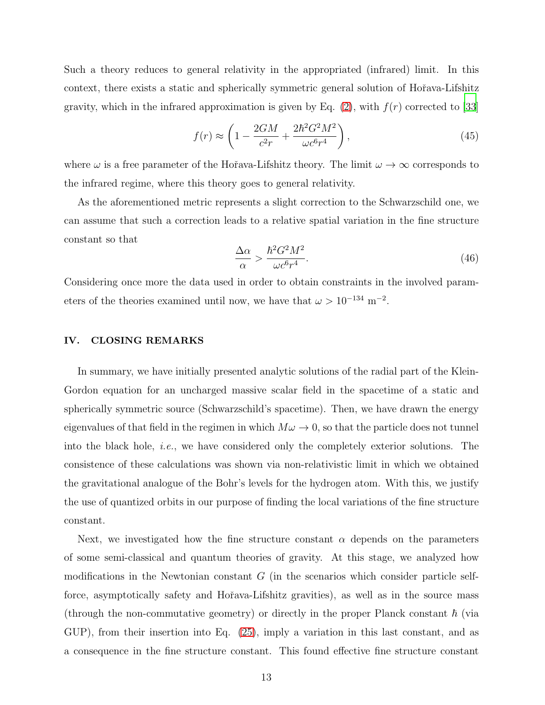Such a theory reduces to general relativity in the appropriated (infrared) limit. In this context, there exists a static and spherically symmetric general solution of Hořava-Lifshitz gravity, which in the infrared approximation is given by Eq.  $(2)$ , with  $f(r)$  corrected to [\[33\]](#page-15-2)

$$
f(r) \approx \left(1 - \frac{2GM}{c^2r} + \frac{2\hbar^2 G^2 M^2}{\omega c^6 r^4}\right),\tag{45}
$$

where  $\omega$  is a free parameter of the Hořava-Lifshitz theory. The limit  $\omega \to \infty$  corresponds to the infrared regime, where this theory goes to general relativity.

As the aforementioned metric represents a slight correction to the Schwarzschild one, we can assume that such a correction leads to a relative spatial variation in the fine structure constant so that

$$
\frac{\Delta\alpha}{\alpha} > \frac{\hbar^2 G^2 M^2}{\omega c^6 r^4}.\tag{46}
$$

Considering once more the data used in order to obtain constraints in the involved parameters of the theories examined until now, we have that  $\omega > 10^{-134}$  m<sup>-2</sup>.

#### IV. CLOSING REMARKS

In summary, we have initially presented analytic solutions of the radial part of the Klein-Gordon equation for an uncharged massive scalar field in the spacetime of a static and spherically symmetric source (Schwarzschild's spacetime). Then, we have drawn the energy eigenvalues of that field in the regimen in which  $M\omega \to 0$ , so that the particle does not tunnel into the black hole, i.e., we have considered only the completely exterior solutions. The consistence of these calculations was shown via non-relativistic limit in which we obtained the gravitational analogue of the Bohr's levels for the hydrogen atom. With this, we justify the use of quantized orbits in our purpose of finding the local variations of the fine structure constant.

Next, we investigated how the fine structure constant  $\alpha$  depends on the parameters of some semi-classical and quantum theories of gravity. At this stage, we analyzed how modifications in the Newtonian constant  $G$  (in the scenarios which consider particle selfforce, asymptotically safety and Hořava-Lifshitz gravities), as well as in the source mass (through the non-commutative geometry) or directly in the proper Planck constant  $\hbar$  (via GUP), from their insertion into Eq. [\(25\)](#page-7-0), imply a variation in this last constant, and as a consequence in the fine structure constant. This found effective fine structure constant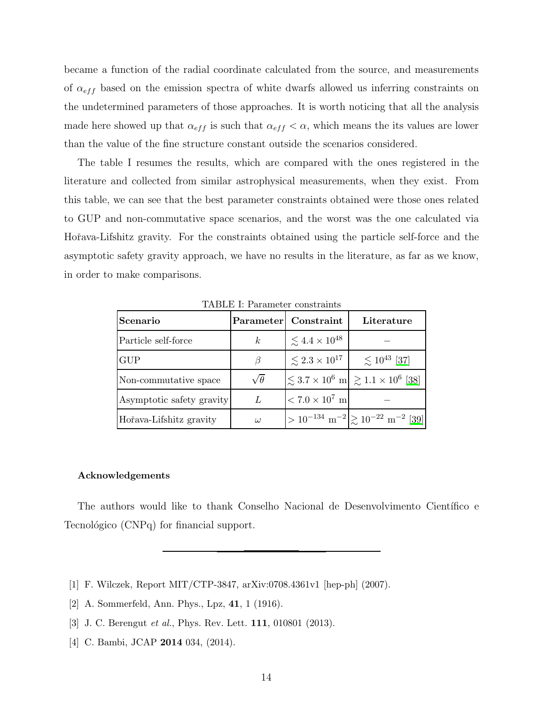became a function of the radial coordinate calculated from the source, and measurements of  $\alpha_{eff}$  based on the emission spectra of white dwarfs allowed us inferring constraints on the undetermined parameters of those approaches. It is worth noticing that all the analysis made here showed up that  $\alpha_{eff}$  is such that  $\alpha_{eff} < \alpha$ , which means the its values are lower than the value of the fine structure constant outside the scenarios considered.

The table I resumes the results, which are compared with the ones registered in the literature and collected from similar astrophysical measurements, when they exist. From this table, we can see that the best parameter constraints obtained were those ones related to GUP and non-commutative space scenarios, and the worst was the one calculated via Hořava-Lifshitz gravity. For the constraints obtained using the particle self-force and the asymptotic safety gravity approach, we have no results in the literature, as far as we know, in order to make comparisons.

| Scenario                  |                 | Parameter Constraint          | Literature                                                                      |
|---------------------------|-----------------|-------------------------------|---------------------------------------------------------------------------------|
| Particle self-force       | $\kappa$        | $\lesssim 4.4 \times 10^{48}$ |                                                                                 |
| <b>GUP</b>                | В               | $\lesssim 2.3 \times 10^{17}$ | $\lesssim 10^{43}$ [37]                                                         |
| Non-commutative space     | $\sqrt{\theta}$ |                               | $\left  \leq 3.7 \times 10^6 \right  \approx 1.1 \times 10^6 \left  38 \right $ |
| Asymptotic safety gravity | L               | $< 7.0 \times 10^7$ m         |                                                                                 |
| Hořava-Lifshitz gravity   | $\omega$        |                               | $> 10^{-134} \text{ m}^{-2}$ $\gtrsim 10^{-22} \text{ m}^{-2}$ [39]             |

TABLE I: Parameter constraints

#### Acknowledgements

The authors would like to thank Conselho Nacional de Desenvolvimento Cient´ıfico e Tecnológico (CNPq) for financial support.

- <span id="page-13-0"></span>[1] F. Wilczek, Report MIT/CTP-3847, arXiv:0708.4361v1 [hep-ph] (2007).
- <span id="page-13-1"></span>[2] A. Sommerfeld, Ann. Phys., Lpz, 41, 1 (1916).
- <span id="page-13-2"></span>[3] J. C. Berengut *et al.*, Phys. Rev. Lett. **111**, 010801 (2013).
- <span id="page-13-3"></span>[4] C. Bambi, JCAP **2014** 034, (2014).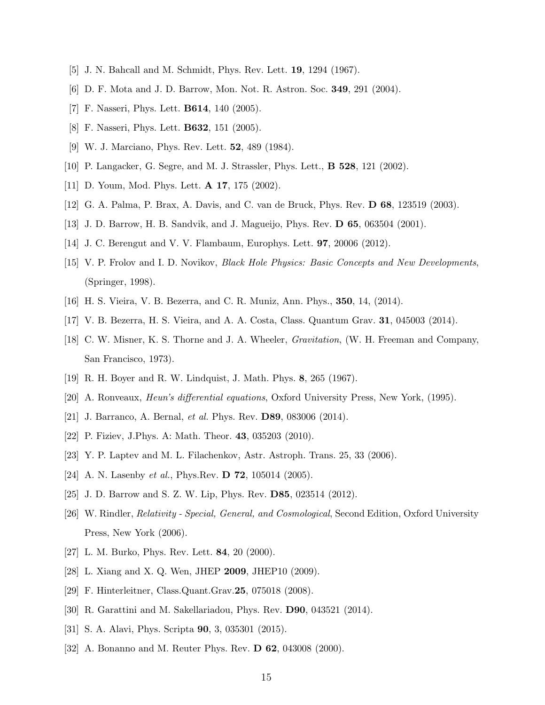- <span id="page-14-1"></span><span id="page-14-0"></span>[5] J. N. Bahcall and M. Schmidt, Phys. Rev. Lett. 19, 1294 (1967).
- <span id="page-14-2"></span>[6] D. F. Mota and J. D. Barrow, Mon. Not. R. Astron. Soc. 349, 291 (2004).
- <span id="page-14-3"></span>[7] F. Nasseri, Phys. Lett. B614, 140 (2005).
- <span id="page-14-4"></span>[8] F. Nasseri, Phys. Lett. B632, 151 (2005).
- <span id="page-14-5"></span>[9] W. J. Marciano, Phys. Rev. Lett. 52, 489 (1984).
- <span id="page-14-6"></span>[10] P. Langacker, G. Segre, and M. J. Strassler, Phys. Lett., B 528, 121 (2002).
- <span id="page-14-7"></span>[11] D. Youm, Mod. Phys. Lett. A 17, 175 (2002).
- <span id="page-14-8"></span>[12] G. A. Palma, P. Brax, A. Davis, and C. van de Bruck, Phys. Rev. D 68, 123519 (2003).
- <span id="page-14-9"></span>[13] J. D. Barrow, H. B. Sandvik, and J. Magueijo, Phys. Rev. D 65, 063504 (2001).
- <span id="page-14-10"></span>[14] J. C. Berengut and V. V. Flambaum, Europhys. Lett. 97, 20006 (2012).
- [15] V. P. Frolov and I. D. Novikov, Black Hole Physics: Basic Concepts and New Developments, (Springer, 1998).
- <span id="page-14-12"></span><span id="page-14-11"></span>[16] H. S. Vieira, V. B. Bezerra, and C. R. Muniz, Ann. Phys., 350, 14, (2014).
- <span id="page-14-13"></span>[17] V. B. Bezerra, H. S. Vieira, and A. A. Costa, Class. Quantum Grav. 31, 045003 (2014).
- [18] C. W. Misner, K. S. Thorne and J. A. Wheeler, Gravitation, (W. H. Freeman and Company, San Francisco, 1973).
- <span id="page-14-14"></span>[19] R. H. Boyer and R. W. Lindquist, J. Math. Phys. 8, 265 (1967).
- <span id="page-14-15"></span>[20] A. Ronveaux, Heun's differential equations, Oxford University Press, New York, (1995).
- <span id="page-14-17"></span>[21] J. Barranco, A. Bernal, *et al.* Phys. Rev. **D89**, 083006 (2014).
- <span id="page-14-18"></span><span id="page-14-16"></span>[22] P. Fiziev, J.Phys. A: Math. Theor. 43, 035203 (2010).
- [23] Y. P. Laptev and M. L. Filachenkov, Astr. Astroph. Trans. 25, 33 (2006).
- <span id="page-14-19"></span>[24] A. N. Lasenby *et al.*, Phys.Rev. **D 72**, 105014 (2005).
- <span id="page-14-25"></span>[25] J. D. Barrow and S. Z. W. Lip, Phys. Rev. **D85**, 023514 (2012).
- <span id="page-14-26"></span>[26] W. Rindler, Relativity - Special, General, and Cosmological, Second Edition, Oxford University Press, New York (2006).
- <span id="page-14-20"></span>[27] L. M. Burko, Phys. Rev. Lett. 84, 20 (2000).
- <span id="page-14-21"></span>[28] L. Xiang and X. Q. Wen, JHEP 2009, JHEP10 (2009).
- <span id="page-14-22"></span>[29] F. Hinterleitner, Class.Quant.Grav.25, 075018 (2008).
- <span id="page-14-23"></span>[30] R. Garattini and M. Sakellariadou, Phys. Rev. D90, 043521 (2014).
- <span id="page-14-24"></span>[31] S. A. Alavi, Phys. Scripta 90, 3, 035301 (2015).
- <span id="page-14-27"></span>[32] A. Bonanno and M. Reuter Phys. Rev. **D 62**, 043008 (2000).